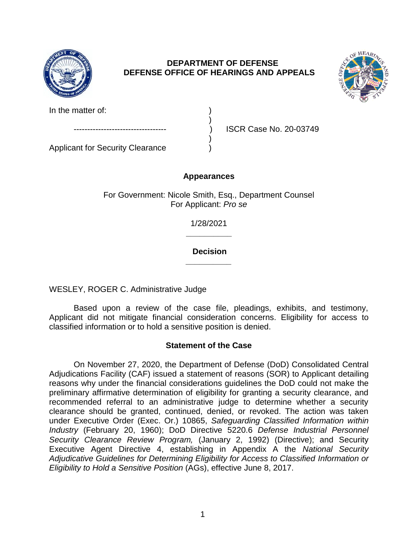

# **DEPARTMENT OF DEFENSE DEFENSE OFFICE OF HEARINGS AND APPEALS**



In the matter of:

Applicant for Security Clearance )

ISCR Case No. 20-03749

## **Appearances**

)

)

For Government: Nicole Smith, Esq., Department Counsel For Applicant: *Pro se* 

> **\_\_\_\_\_\_\_\_\_\_**  1/28/2021

> **\_\_\_\_\_\_\_\_\_\_ Decision**

WESLEY, ROGER C. Administrative Judge

Based upon a review of the case file, pleadings, exhibits, and testimony, Applicant did not mitigate financial consideration concerns. Eligibility for access to classified information or to hold a sensitive position is denied.

## **Statement of the Case**

On November 27, 2020, the Department of Defense (DoD) Consolidated Central Adjudications Facility (CAF) issued a statement of reasons (SOR) to Applicant detailing reasons why under the financial considerations guidelines the DoD could not make the preliminary affirmative determination of eligibility for granting a security clearance, and recommended referral to an administrative judge to determine whether a security clearance should be granted, continued, denied, or revoked. The action was taken under Executive Order (Exec. Or.) 10865, *Safeguarding Classified Information within Industry* (February 20, 1960); DoD Directive 5220.6 *Defense Industrial Personnel Security Clearance Review Program,* (January 2, 1992) (Directive); and Security Executive Agent Directive 4, establishing in Appendix A the *National Security Adjudicative Guidelines for Determining Eligibility for Access to Classified Information or Eligibility to Hold a Sensitive Position* (AGs), effective June 8, 2017.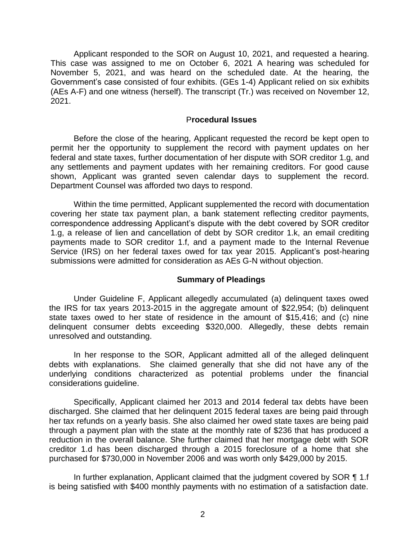Applicant responded to the SOR on August 10, 2021, and requested a hearing. This case was assigned to me on October 6, 2021 A hearing was scheduled for November 5, 2021, and was heard on the scheduled date. At the hearing, the Government's case consisted of four exhibits. (GEs 1-4) Applicant relied on six exhibits (AEs A-F) and one witness (herself). The transcript (Tr.) was received on November 12, 2021.

#### P**rocedural Issues**

Before the close of the hearing, Applicant requested the record be kept open to permit her the opportunity to supplement the record with payment updates on her federal and state taxes, further documentation of her dispute with SOR creditor 1.g, and any settlements and payment updates with her remaining creditors. For good cause shown, Applicant was granted seven calendar days to supplement the record. Department Counsel was afforded two days to respond.

Within the time permitted, Applicant supplemented the record with documentation covering her state tax payment plan, a bank statement reflecting creditor payments, correspondence addressing Applicant's dispute with the debt covered by SOR creditor 1.g, a release of lien and cancellation of debt by SOR creditor 1.k, an email crediting payments made to SOR creditor 1.f, and a payment made to the Internal Revenue Service (IRS) on her federal taxes owed for tax year 2015. Applicant's post-hearing submissions were admitted for consideration as AEs G-N without objection.

#### **Summary of Pleadings**

Under Guideline F, Applicant allegedly accumulated (a) delinquent taxes owed the IRS for tax years 2013-2015 in the aggregate amount of \$22,954; (b) delinquent state taxes owed to her state of residence in the amount of \$15,416; and (c) nine delinquent consumer debts exceeding \$320,000. Allegedly, these debts remain unresolved and outstanding.

In her response to the SOR, Applicant admitted all of the alleged delinquent debts with explanations. She claimed generally that she did not have any of the underlying conditions characterized as potential problems under the financial considerations guideline.

Specifically, Applicant claimed her 2013 and 2014 federal tax debts have been discharged. She claimed that her delinquent 2015 federal taxes are being paid through her tax refunds on a yearly basis. She also claimed her owed state taxes are being paid through a payment plan with the state at the monthly rate of \$236 that has produced a reduction in the overall balance. She further claimed that her mortgage debt with SOR creditor 1.d has been discharged through a 2015 foreclosure of a home that she purchased for \$730,000 in November 2006 and was worth only \$429,000 by 2015.

In further explanation, Applicant claimed that the judgment covered by SOR ¶ 1.f is being satisfied with \$400 monthly payments with no estimation of a satisfaction date.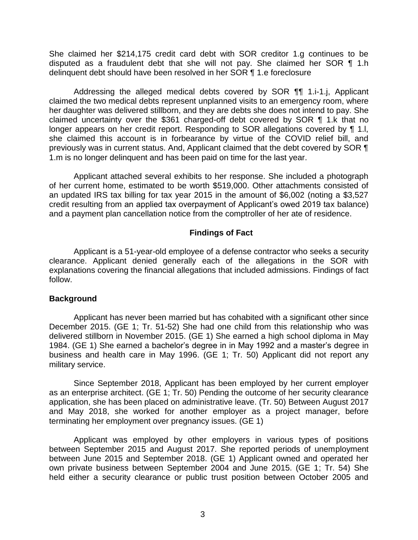She claimed her \$214,175 credit card debt with SOR creditor 1.g continues to be disputed as a fraudulent debt that she will not pay. She claimed her SOR ¶ 1.h delinquent debt should have been resolved in her SOR ¶ 1.e foreclosure

Addressing the alleged medical debts covered by SOR ¶¶ 1.i-1.j, Applicant claimed the two medical debts represent unplanned visits to an emergency room, where her daughter was delivered stillborn, and they are debts she does not intend to pay. She claimed uncertainty over the \$361 charged-off debt covered by SOR ¶ 1.k that no longer appears on her credit report. Responding to SOR allegations covered by ¶ 1.l, she claimed this account is in forbearance by virtue of the COVID relief bill, and previously was in current status. And, Applicant claimed that the debt covered by SOR ¶ 1.m is no longer delinquent and has been paid on time for the last year.

 credit resulting from an applied tax overpayment of Applicant's owed 2019 tax balance) Applicant attached several exhibits to her response. She included a photograph of her current home, estimated to be worth \$519,000. Other attachments consisted of an updated IRS tax billing for tax year 2015 in the amount of \$6,002 (noting a \$3,527 and a payment plan cancellation notice from the comptroller of her ate of residence.

### **Findings of Fact**

Applicant is a 51-year-old employee of a defense contractor who seeks a security clearance. Applicant denied generally each of the allegations in the SOR with explanations covering the financial allegations that included admissions. Findings of fact follow.

### **Background**

 1984. (GE 1) She earned a bachelor's degree in in May 1992 and a master's degree in Applicant has never been married but has cohabited with a significant other since December 2015. (GE 1; Tr. 51-52) She had one child from this relationship who was delivered stillborn in November 2015. (GE 1) She earned a high school diploma in May business and health care in May 1996. (GE 1; Tr. 50) Applicant did not report any military service.

Since September 2018, Applicant has been employed by her current employer as an enterprise architect. (GE 1; Tr. 50) Pending the outcome of her security clearance application, she has been placed on administrative leave. (Tr. 50) Between August 2017 and May 2018, she worked for another employer as a project manager, before terminating her employment over pregnancy issues. (GE 1)

Applicant was employed by other employers in various types of positions between September 2015 and August 2017. She reported periods of unemployment between June 2015 and September 2018. (GE 1) Applicant owned and operated her own private business between September 2004 and June 2015. (GE 1; Tr. 54) She held either a security clearance or public trust position between October 2005 and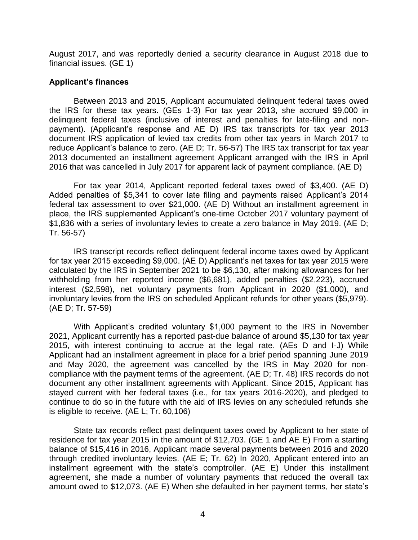August 2017, and was reportedly denied a security clearance in August 2018 due to financial issues. (GE 1)

### **Applicant's finances**

Between 2013 and 2015, Applicant accumulated delinquent federal taxes owed the IRS for these tax years. (GEs 1-3) For tax year 2013, she accrued \$9,000 in delinquent federal taxes (inclusive of interest and penalties for late-filing and nonpayment). (Applicant's response and AE D) IRS tax transcripts for tax year 2013 document IRS application of levied tax credits from other tax years in March 2017 to reduce Applicant's balance to zero. (AE D; Tr. 56-57) The IRS tax transcript for tax year 2013 documented an installment agreement Applicant arranged with the IRS in April 2016 that was cancelled in July 2017 for apparent lack of payment compliance. (AE D)

For tax year 2014, Applicant reported federal taxes owed of \$3,400. (AE D) Added penalties of \$5,341 to cover late filing and payments raised Applicant's 2014 federal tax assessment to over \$21,000. (AE D) Without an installment agreement in place, the IRS supplemented Applicant's one-time October 2017 voluntary payment of \$1,836 with a series of involuntary levies to create a zero balance in May 2019. (AE D; Tr. 56-57)

 for tax year 2015 exceeding \$9,000. (AE D) Applicant's net taxes for tax year 2015 were IRS transcript records reflect delinquent federal income taxes owed by Applicant calculated by the IRS in September 2021 to be \$6,130, after making allowances for her withholding from her reported income (\$6,681), added penalties (\$2,223), accrued interest (\$2,598), net voluntary payments from Applicant in 2020 (\$1,000), and involuntary levies from the IRS on scheduled Applicant refunds for other years (\$5,979). (AE D; Tr. 57-59)

With Applicant's credited voluntary \$1,000 payment to the IRS in November 2021, Applicant currently has a reported past-due balance of around \$5,130 for tax year 2015, with interest continuing to accrue at the legal rate. (AEs D and I-J) While Applicant had an installment agreement in place for a brief period spanning June 2019 and May 2020, the agreement was cancelled by the IRS in May 2020 for noncompliance with the payment terms of the agreement. (AE D; Tr. 48) IRS records do not document any other installment agreements with Applicant. Since 2015, Applicant has stayed current with her federal taxes (i.e., for tax years 2016-2020), and pledged to continue to do so in the future with the aid of IRS levies on any scheduled refunds she is eligible to receive. (AE L; Tr. 60,106)

 installment agreement with the state's comptroller. (AE E) Under this installment State tax records reflect past delinquent taxes owed by Applicant to her state of residence for tax year 2015 in the amount of \$12,703. (GE 1 and AE E) From a starting balance of \$15,416 in 2016, Applicant made several payments between 2016 and 2020 through credited involuntary levies. (AE E; Tr. 62) In 2020, Applicant entered into an agreement, she made a number of voluntary payments that reduced the overall tax amount owed to \$12,073. (AE E) When she defaulted in her payment terms, her state's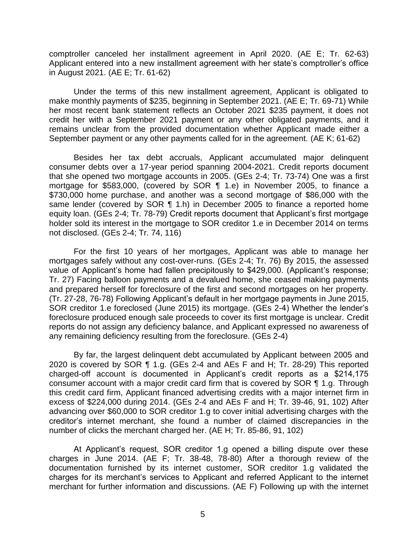Applicant entered into a new installment agreement with her state's comptroller's office comptroller canceled her installment agreement in April 2020. (AE E; Tr. 62-63) in August 2021. (AE E; Tr. 61-62)

Under the terms of this new installment agreement, Applicant is obligated to make monthly payments of \$235, beginning in September 2021. (AE E; Tr. 69-71) While her most recent bank statement reflects an October 2021 \$235 payment, it does not credit her with a September 2021 payment or any other obligated payments, and it remains unclear from the provided documentation whether Applicant made either a September payment or any other payments called for in the agreement. (AE K; 61-62)

 equity loan. (GEs 2-4; Tr. 78-79) Credit reports document that Applicant's first mortgage Besides her tax debt accruals, Applicant accumulated major delinquent consumer debts over a 17-year period spanning 2004-2021. Credit reports document that she opened two mortgage accounts in 2005. (GEs 2-4; Tr. 73-74) One was a first mortgage for \$583,000, (covered by SOR ¶ 1.e) in November 2005, to finance a \$730,000 home purchase, and another was a second mortgage of \$86,000 with the same lender (covered by SOR ¶ 1.h) in December 2005 to finance a reported home holder sold its interest in the mortgage to SOR creditor 1.e in December 2014 on terms not disclosed. (GEs 2-4; Tr. 74, 116)

 value of Applicant's home had fallen precipitously to \$429,000. (Applicant's response; SOR creditor 1.e foreclosed (June 2015) its mortgage. (GEs 2-4) Whether the lender's For the first 10 years of her mortgages, Applicant was able to manage her mortgages safely without any cost-over-runs. (GEs 2-4; Tr. 76) By 2015, the assessed Tr. 27) Facing balloon payments and a devalued home, she ceased making payments and prepared herself for foreclosure of the first and second mortgages on her property. (Tr. 27-28, 76-78) Following Applicant's default in her mortgage payments in June 2015, foreclosure produced enough sale proceeds to cover its first mortgage is unclear. Credit reports do not assign any deficiency balance, and Applicant expressed no awareness of any remaining deficiency resulting from the foreclosure. (GEs 2-4)

 charged-off account is documented in Applicant's credit reports as a \$214,175 creditor's internet merchant, she found a number of claimed discrepancies in the By far, the largest delinquent debt accumulated by Applicant between 2005 and 2020 is covered by SOR ¶ 1.g. (GEs 2-4 and AEs F and H; Tr. 28-29) This reported consumer account with a major credit card firm that is covered by SOR ¶ 1.g. Through this credit card firm, Applicant financed advertising credits with a major internet firm in excess of \$224,000 during 2014. (GEs 2-4 and AEs F and H; Tr. 39-46, 91, 102) After advancing over \$60,000 to SOR creditor 1.g to cover initial advertising charges with the number of clicks the merchant charged her. (AE H; Tr. 85-86, 91, 102)

 At Applicant's request, SOR creditor 1.g opened a billing dispute over these charges for its merchant's services to Applicant and referred Applicant to the internet charges in June 2014. (AE F; Tr. 38-48, 78-80) After a thorough review of the documentation furnished by its internet customer, SOR creditor 1.g validated the merchant for further information and discussions. (AE F) Following up with the internet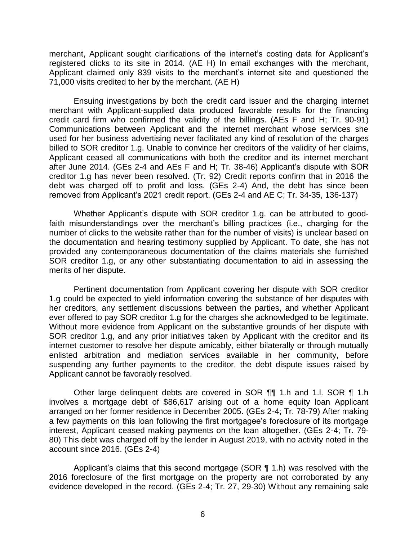merchant, Applicant sought clarifications of the internet's costing data for Applicant's Applicant claimed only 839 visits to the merchant's internet site and questioned the registered clicks to its site in 2014. (AE H) In email exchanges with the merchant, 71,000 visits credited to her by the merchant. (AE H)

 after June 2014. (GEs 2-4 and AEs F and H; Tr. 38-46) Applicant's dispute with SOR removed from Applicant's 2021 credit report. (GEs 2-4 and AE C; Tr. 34-35, 136-137) Ensuing investigations by both the credit card issuer and the charging internet merchant with Applicant-supplied data produced favorable results for the financing credit card firm who confirmed the validity of the billings. (AEs F and H; Tr. 90-91) Communications between Applicant and the internet merchant whose services she used for her business advertising never facilitated any kind of resolution of the charges billed to SOR creditor 1.g. Unable to convince her creditors of the validity of her claims, Applicant ceased all communications with both the creditor and its internet merchant creditor 1.g has never been resolved. (Tr. 92) Credit reports confirm that in 2016 the debt was charged off to profit and loss. (GEs 2-4) And, the debt has since been

 faith misunderstandings over the merchant's billing practices (i.e., charging for the Whether Applicant's dispute with SOR creditor 1.g. can be attributed to goodnumber of clicks to the website rather than for the number of visits) is unclear based on the documentation and hearing testimony supplied by Applicant. To date, she has not provided any contemporaneous documentation of the claims materials she furnished SOR creditor 1.g, or any other substantiating documentation to aid in assessing the merits of her dispute.

Pertinent documentation from Applicant covering her dispute with SOR creditor 1.g could be expected to yield information covering the substance of her disputes with her creditors, any settlement discussions between the parties, and whether Applicant ever offered to pay SOR creditor 1.g for the charges she acknowledged to be legitimate. Without more evidence from Applicant on the substantive grounds of her dispute with SOR creditor 1.g, and any prior initiatives taken by Applicant with the creditor and its internet customer to resolve her dispute amicably, either bilaterally or through mutually enlisted arbitration and mediation services available in her community, before suspending any further payments to the creditor, the debt dispute issues raised by Applicant cannot be favorably resolved.

Other large delinquent debts are covered in SOR ¶¶ 1.h and 1.l. SOR ¶ 1.h involves a mortgage debt of \$86,617 arising out of a home equity loan Applicant arranged on her former residence in December 2005. (GEs 2-4; Tr. 78-79) After making a few payments on this loan following the first mortgagee's foreclosure of its mortgage interest, Applicant ceased making payments on the loan altogether. (GEs 2-4; Tr. 79- 80) This debt was charged off by the lender in August 2019, with no activity noted in the account since 2016. (GEs 2-4)

 Applicant's claims that this second mortgage (SOR ¶ 1.h) was resolved with the 2016 foreclosure of the first mortgage on the property are not corroborated by any evidence developed in the record. (GEs 2-4; Tr. 27, 29-30) Without any remaining sale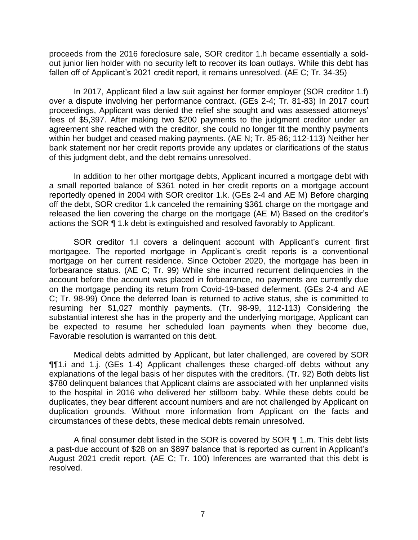fallen off of Applicant's 2021 credit report, it remains unresolved. (AE C; Tr. 34-35) proceeds from the 2016 foreclosure sale, SOR creditor 1.h became essentially a soldout junior lien holder with no security left to recover its loan outlays. While this debt has

In 2017, Applicant filed a law suit against her former employer (SOR creditor 1.f) over a dispute involving her performance contract. (GEs 2-4; Tr. 81-83) In 2017 court proceedings, Applicant was denied the relief she sought and was assessed attorneys' fees of \$5,397. After making two \$200 payments to the judgment creditor under an agreement she reached with the creditor, she could no longer fit the monthly payments within her budget and ceased making payments. (AE N; Tr. 85-86; 112-113) Neither her bank statement nor her credit reports provide any updates or clarifications of the status of this judgment debt, and the debt remains unresolved.

 released the lien covering the charge on the mortgage (AE M) Based on the creditor's In addition to her other mortgage debts, Applicant incurred a mortgage debt with a small reported balance of \$361 noted in her credit reports on a mortgage account reportedly opened in 2004 with SOR creditor 1.k. (GEs 2-4 and AE M) Before charging off the debt, SOR creditor 1.k canceled the remaining \$361 charge on the mortgage and actions the SOR ¶ 1.k debt is extinguished and resolved favorably to Applicant.

 mortgagee. The reported mortgage in Applicant's credit reports is a conventional SOR creditor 1.l covers a delinquent account with Applicant's current first mortgage on her current residence. Since October 2020, the mortgage has been in forbearance status. (AE C; Tr. 99) While she incurred recurrent delinquencies in the account before the account was placed in forbearance, no payments are currently due on the mortgage pending its return from Covid-19-based deferment. (GEs 2-4 and AE C; Tr. 98-99) Once the deferred loan is returned to active status, she is committed to resuming her \$1,027 monthly payments. (Tr. 98-99, 112-113) Considering the substantial interest she has in the property and the underlying mortgage, Applicant can be expected to resume her scheduled loan payments when they become due, Favorable resolution is warranted on this debt.

Medical debts admitted by Applicant, but later challenged, are covered by SOR ¶¶1.i and 1.j. (GEs 1-4) Applicant challenges these charged-off debts without any explanations of the legal basis of her disputes with the creditors. (Tr. 92) Both debts list \$780 delinquent balances that Applicant claims are associated with her unplanned visits to the hospital in 2016 who delivered her stillborn baby. While these debts could be duplicates, they bear different account numbers and are not challenged by Applicant on duplication grounds. Without more information from Applicant on the facts and circumstances of these debts, these medical debts remain unresolved.

 a past-due account of \$28 on an \$897 balance that is reported as current in Applicant's A final consumer debt listed in the SOR is covered by SOR ¶ 1.m. This debt lists August 2021 credit report. (AE C; Tr. 100) Inferences are warranted that this debt is resolved.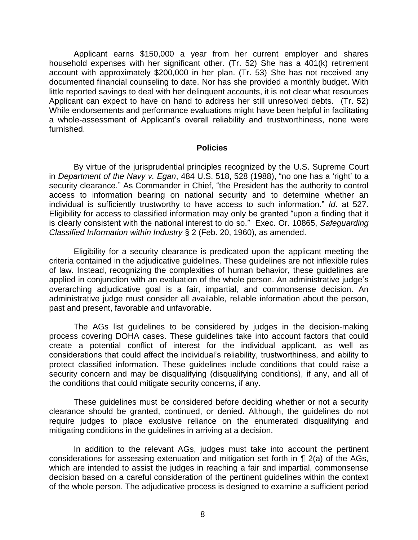a whole-assessment of Applicant's overall reliability and trustworthiness, none were Applicant earns \$150,000 a year from her current employer and shares household expenses with her significant other. (Tr. 52) She has a 401(k) retirement account with approximately \$200,000 in her plan. (Tr. 53) She has not received any documented financial counseling to date. Nor has she provided a monthly budget. With little reported savings to deal with her delinquent accounts, it is not clear what resources Applicant can expect to have on hand to address her still unresolved debts. (Tr. 52) While endorsements and performance evaluations might have been helpful in facilitating furnished.

#### **Policies**

 Eligibility for access to classified information may only be granted "upon a finding that it By virtue of the jurisprudential principles recognized by the U.S. Supreme Court in *Department of the Navy v. Egan*, 484 U.S. 518, 528 (1988), "no one has a 'right' to a security clearance." As Commander in Chief, "the President has the authority to control access to information bearing on national security and to determine whether an individual is sufficiently trustworthy to have access to such information." *Id*. at 527. is clearly consistent with the national interest to do so." Exec. Or. 10865, *Safeguarding Classified Information within Industry* § 2 (Feb. 20, 1960), as amended.

Eligibility for a security clearance is predicated upon the applicant meeting the criteria contained in the adjudicative guidelines. These guidelines are not inflexible rules of law. Instead, recognizing the complexities of human behavior, these guidelines are applied in conjunction with an evaluation of the whole person. An administrative judge's overarching adjudicative goal is a fair, impartial, and commonsense decision. An administrative judge must consider all available, reliable information about the person, past and present, favorable and unfavorable.

 considerations that could affect the individual's reliability, trustworthiness, and ability to The AGs list guidelines to be considered by judges in the decision-making process covering DOHA cases. These guidelines take into account factors that could create a potential conflict of interest for the individual applicant, as well as protect classified information. These guidelines include conditions that could raise a security concern and may be disqualifying (disqualifying conditions), if any, and all of the conditions that could mitigate security concerns, if any.

These guidelines must be considered before deciding whether or not a security clearance should be granted, continued, or denied. Although, the guidelines do not require judges to place exclusive reliance on the enumerated disqualifying and mitigating conditions in the guidelines in arriving at a decision.

In addition to the relevant AGs, judges must take into account the pertinent considerations for assessing extenuation and mitigation set forth in ¶ 2(a) of the AGs, which are intended to assist the judges in reaching a fair and impartial, commonsense decision based on a careful consideration of the pertinent guidelines within the context of the whole person. The adjudicative process is designed to examine a sufficient period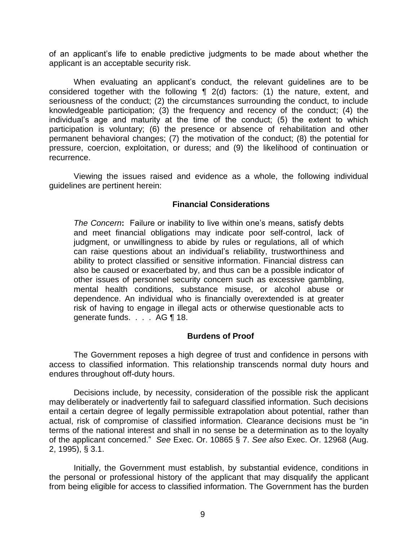of an applicant's life to enable predictive judgments to be made about whether the applicant is an acceptable security risk.

When evaluating an applicant's conduct, the relevant guidelines are to be considered together with the following ¶ 2(d) factors: (1) the nature, extent, and seriousness of the conduct; (2) the circumstances surrounding the conduct, to include knowledgeable participation; (3) the frequency and recency of the conduct; (4) the individual's age and maturity at the time of the conduct; (5) the extent to which participation is voluntary; (6) the presence or absence of rehabilitation and other permanent behavioral changes; (7) the motivation of the conduct; (8) the potential for pressure, coercion, exploitation, or duress; and (9) the likelihood of continuation or recurrence.

Viewing the issues raised and evidence as a whole, the following individual guidelines are pertinent herein:

### **Financial Considerations**

*The Concern***:** Failure or inability to live within one's means, satisfy debts and meet financial obligations may indicate poor self-control, lack of judgment, or unwillingness to abide by rules or regulations, all of which can raise questions about an individual's reliability, trustworthiness and ability to protect classified or sensitive information. Financial distress can also be caused or exacerbated by, and thus can be a possible indicator of other issues of personnel security concern such as excessive gambling, mental health conditions, substance misuse, or alcohol abuse or dependence. An individual who is financially overextended is at greater risk of having to engage in illegal acts or otherwise questionable acts to generate funds. . . . AG ¶ 18.

### **Burdens of Proof**

The Government reposes a high degree of trust and confidence in persons with access to classified information. This relationship transcends normal duty hours and endures throughout off-duty hours.

Decisions include, by necessity, consideration of the possible risk the applicant may deliberately or inadvertently fail to safeguard classified information. Such decisions entail a certain degree of legally permissible extrapolation about potential, rather than actual, risk of compromise of classified information. Clearance decisions must be "in terms of the national interest and shall in no sense be a determination as to the loyalty of the applicant concerned." *See* Exec. Or. 10865 § 7. *See also* Exec. Or. 12968 (Aug. 2, 1995), § 3.1.

Initially, the Government must establish, by substantial evidence, conditions in the personal or professional history of the applicant that may disqualify the applicant from being eligible for access to classified information. The Government has the burden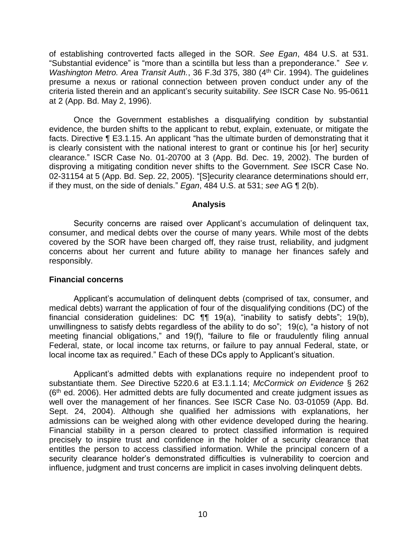of establishing controverted facts alleged in the SOR. *See Egan*, 484 U.S. at 531. "Substantial evidence" is "more than a scintilla but less than a preponderance." *See v. Washington Metro. Area Transit Auth.*, 36 F.3d 375, 380 (4<sup>th</sup> Cir. 1994). The guidelines presume a nexus or rational connection between proven conduct under any of the criteria listed therein and an applicant's security suitability. *See* ISCR Case No. 95-0611 at 2 (App. Bd. May 2, 1996).

Once the Government establishes a disqualifying condition by substantial evidence, the burden shifts to the applicant to rebut, explain, extenuate, or mitigate the facts. Directive ¶ E3.1.15. An applicant "has the ultimate burden of demonstrating that it is clearly consistent with the national interest to grant or continue his [or her] security clearance." ISCR Case No. 01-20700 at 3 (App. Bd. Dec. 19, 2002). The burden of disproving a mitigating condition never shifts to the Government. *See* ISCR Case No. 02-31154 at 5 (App. Bd. Sep. 22, 2005). "[S]ecurity clearance determinations should err, if they must, on the side of denials." *Egan*, 484 U.S. at 531; *see* AG ¶ 2(b).

#### **Analysis**

 Security concerns are raised over Applicant's accumulation of delinquent tax, consumer, and medical debts over the course of many years. While most of the debts covered by the SOR have been charged off, they raise trust, reliability, and judgment concerns about her current and future ability to manage her finances safely and responsibly.

#### **Financial concerns**

 Applicant's accumulation of delinquent debts (comprised of tax, consumer, and financial consideration guidelines: DC ¶¶ 19(a), "inability to satisfy debts"; 19(b), unwillingness to satisfy debts regardless of the ability to do so"; 19(c), "a history of not meeting financial obligations," and 19(f), "failure to file or fraudulently filing annual medical debts) warrant the application of four of the disqualifying conditions (DC) of the Federal, state, or local income tax returns, or failure to pay annual Federal, state, or local income tax as required." Each of these DCs apply to Applicant's situation.

Applicant's admitted debts with explanations require no independent proof to substantiate them. *See* Directive 5220.6 at E3.1.1.14; *McCormick on Evidence* § 262  $(6<sup>th</sup>$  ed. 2006). Her admitted debts are fully documented and create judgment issues as well over the management of her finances. See ISCR Case No. 03-01059 (App. Bd. Sept. 24, 2004). Although she qualified her admissions with explanations, her admissions can be weighed along with other evidence developed during the hearing. Financial stability in a person cleared to protect classified information is required precisely to inspire trust and confidence in the holder of a security clearance that entitles the person to access classified information. While the principal concern of a security clearance holder's demonstrated difficulties is vulnerability to coercion and influence, judgment and trust concerns are implicit in cases involving delinquent debts.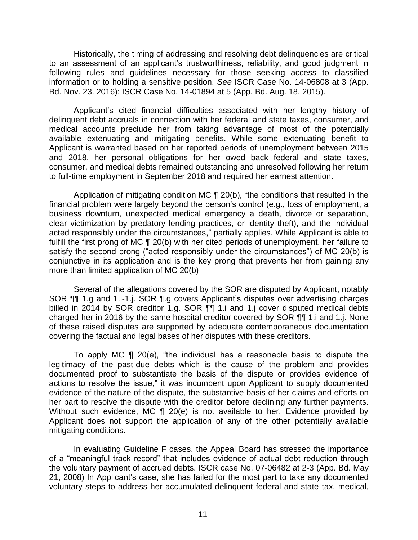Historically, the timing of addressing and resolving debt delinquencies are critical to an assessment of an applicant's trustworthiness, reliability, and good judgment in following rules and guidelines necessary for those seeking access to classified information or to holding a sensitive position. *See* ISCR Case No. 14-06808 at 3 (App. Bd. Nov. 23. 2016); ISCR Case No. 14-01894 at 5 (App. Bd. Aug. 18, 2015).

Applicant's cited financial difficulties associated with her lengthy history of delinquent debt accruals in connection with her federal and state taxes, consumer, and medical accounts preclude her from taking advantage of most of the potentially available extenuating and mitigating benefits. While some extenuating benefit to Applicant is warranted based on her reported periods of unemployment between 2015 and 2018, her personal obligations for her owed back federal and state taxes, consumer, and medical debts remained outstanding and unresolved following her return to full-time employment in September 2018 and required her earnest attention.

Application of mitigating condition MC ¶ 20(b), "the conditions that resulted in the satisfy the second prong ("acted responsibly under the circumstances") of MC 20(b) is financial problem were largely beyond the person's control (e.g., loss of employment, a business downturn, unexpected medical emergency a death, divorce or separation, clear victimization by predatory lending practices, or identity theft), and the individual acted responsibly under the circumstances," partially applies. While Applicant is able to fulfill the first prong of MC ¶ 20(b) with her cited periods of unemployment, her failure to conjunctive in its application and is the key prong that prevents her from gaining any more than limited application of MC 20(b)

 SOR ¶¶ 1.g and 1.i-1.j. SOR ¶.g covers Applicant's disputes over advertising charges Several of the allegations covered by the SOR are disputed by Applicant, notably billed in 2014 by SOR creditor 1.g. SOR  $\P$ **T** 1.i and 1.j cover disputed medical debts charged her in 2016 by the same hospital creditor covered by SOR ¶¶ 1.i and 1.j. None of these raised disputes are supported by adequate contemporaneous documentation covering the factual and legal bases of her disputes with these creditors.

To apply MC  $\P$  20(e), "the individual has a reasonable basis to dispute the actions to resolve the issue," it was incumbent upon Applicant to supply documented legitimacy of the past-due debts which is the cause of the problem and provides documented proof to substantiate the basis of the dispute or provides evidence of evidence of the nature of the dispute, the substantive basis of her claims and efforts on her part to resolve the dispute with the creditor before declining any further payments. Without such evidence, MC ¶ 20(e) is not available to her. Evidence provided by Applicant does not support the application of any of the other potentially available mitigating conditions.

In evaluating Guideline F cases, the Appeal Board has stressed the importance of a "meaningful track record" that includes evidence of actual debt reduction through the voluntary payment of accrued debts. ISCR case No. 07-06482 at 2-3 (App. Bd. May 21, 2008) In Applicant's case, she has failed for the most part to take any documented voluntary steps to address her accumulated delinquent federal and state tax, medical,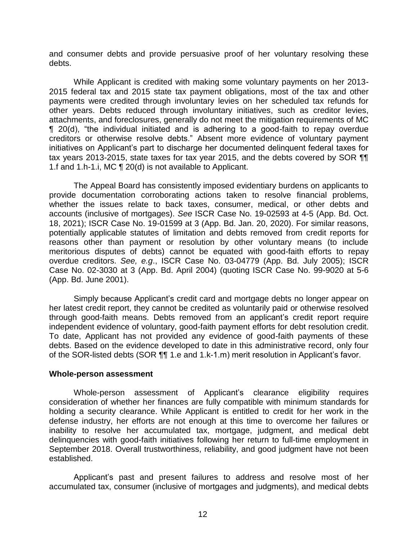and consumer debts and provide persuasive proof of her voluntary resolving these debts.

While Applicant is credited with making some voluntary payments on her 2013- 2015 federal tax and 2015 state tax payment obligations, most of the tax and other payments were credited through involuntary levies on her scheduled tax refunds for other years. Debts reduced through involuntary initiatives, such as creditor levies, attachments, and foreclosures, generally do not meet the mitigation requirements of MC ¶ 20(d), "the individual initiated and is adhering to a good-faith to repay overdue creditors or otherwise resolve debts." Absent more evidence of voluntary payment initiatives on Applicant's part to discharge her documented delinquent federal taxes for tax years 2013-2015, state taxes for tax year 2015, and the debts covered by SOR ¶¶ 1.f and 1.h-1.i, MC ¶ 20(d) is not available to Applicant.

The Appeal Board has consistently imposed evidentiary burdens on applicants to provide documentation corroborating actions taken to resolve financial problems, whether the issues relate to back taxes, consumer, medical, or other debts and accounts (inclusive of mortgages). *See* ISCR Case No. 19-02593 at 4-5 (App. Bd. Oct. 18, 2021); ISCR Case No. 19-01599 at 3 (App. Bd. Jan. 20, 2020). For similar reasons, potentially applicable statutes of limitation and debts removed from credit reports for reasons other than payment or resolution by other voluntary means (to include meritorious disputes of debts) cannot be equated with good-faith efforts to repay overdue creditors. *See, e.g*., ISCR Case No. 03-04779 (App. Bd. July 2005); ISCR Case No. 02-3030 at 3 (App. Bd. April 2004) (quoting ISCR Case No. 99-9020 at 5-6 (App. Bd. June 2001).

Simply because Applicant's credit card and mortgage debts no longer appear on her latest credit report, they cannot be credited as voluntarily paid or otherwise resolved through good-faith means. Debts removed from an applicant's credit report require independent evidence of voluntary, good-faith payment efforts for debt resolution credit. To date, Applicant has not provided any evidence of good-faith payments of these debts. Based on the evidence developed to date in this administrative record, only four of the SOR-listed debts (SOR ¶¶ 1.e and 1.k-1.m) merit resolution in Applicant's favor.

#### **Whole-person assessment**

Whole-person assessment of Applicant's clearance eligibility requires consideration of whether her finances are fully compatible with minimum standards for holding a security clearance. While Applicant is entitled to credit for her work in the defense industry, her efforts are not enough at this time to overcome her failures or inability to resolve her accumulated tax, mortgage, judgment, and medical debt delinquencies with good-faith initiatives following her return to full-time employment in September 2018. Overall trustworthiness, reliability, and good judgment have not been established.

Applicant's past and present failures to address and resolve most of her accumulated tax, consumer (inclusive of mortgages and judgments), and medical debts